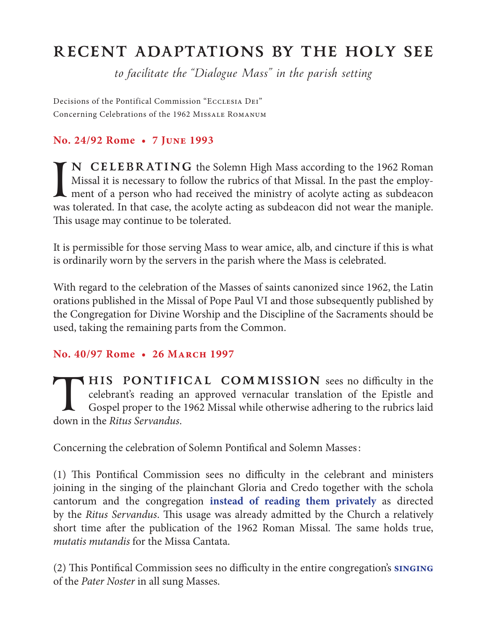## **RECENT ADAPTATIONS BY THE HOLY SEE**

*to facilitate the "Dialogue Mass" in the parish setting*

Decisions of the Pontifical Commission "Ecclesia Dei" Concerning Celebrations of the 1962 Missale Romanum

## **No. 24/92 Rome • 7 June 1993**

I<br>was **N CELEBRATING** the Solemn High Mass according to the 1962 Roman Missal it is necessary to follow the rubrics of that Missal. In the past the employment of a person who had received the ministry of acolyte acting as subdeacon was tolerated. In that case, the acolyte acting as subdeacon did not wear the maniple. This usage may continue to be tolerated.

It is permissible for those serving Mass to wear amice, alb, and cincture if this is what is ordinarily worn by the servers in the parish where the Mass is celebrated.

With regard to the celebration of the Masses of saints canonized since 1962, the Latin orations published in the Missal of Pope Paul VI and those subsequently published by the Congregation for Divine Worship and the Discipline of the Sacraments should be used, taking the remaining parts from the Common.

## **No. 40/97 Rome • 26 March 1997**

**THIS PONTIFICAL COMMISSION** sees no difficulty in the celebrant's reading an approved vernacular translation of the Epistle and Gospel proper to the 1962 Missal while otherwise adhering to the rubrics laid down in the Rit celebrant's reading an approved vernacular translation of the Epistle and Gospel proper to the 1962 Missal while otherwise adhering to the rubrics laid down in the *Ritus Servandus*.

Concerning the celebration of Solemn Pontifical and Solemn Masses:

(1) This Pontifical Commission sees no difficulty in the celebrant and ministers joining in the singing of the plainchant Gloria and Credo together with the schola cantorum and the congregation **instead of reading them privately** as directed by the *Ritus Servandus*. This usage was already admitted by the Church a relatively short time after the publication of the 1962 Roman Missal. The same holds true, *mutatis mutandis* for the Missa Cantata.

(2) This Pontifical Commission sees no difficulty in the entire congregation's **singing** of the *Pater Noster* in all sung Masses.